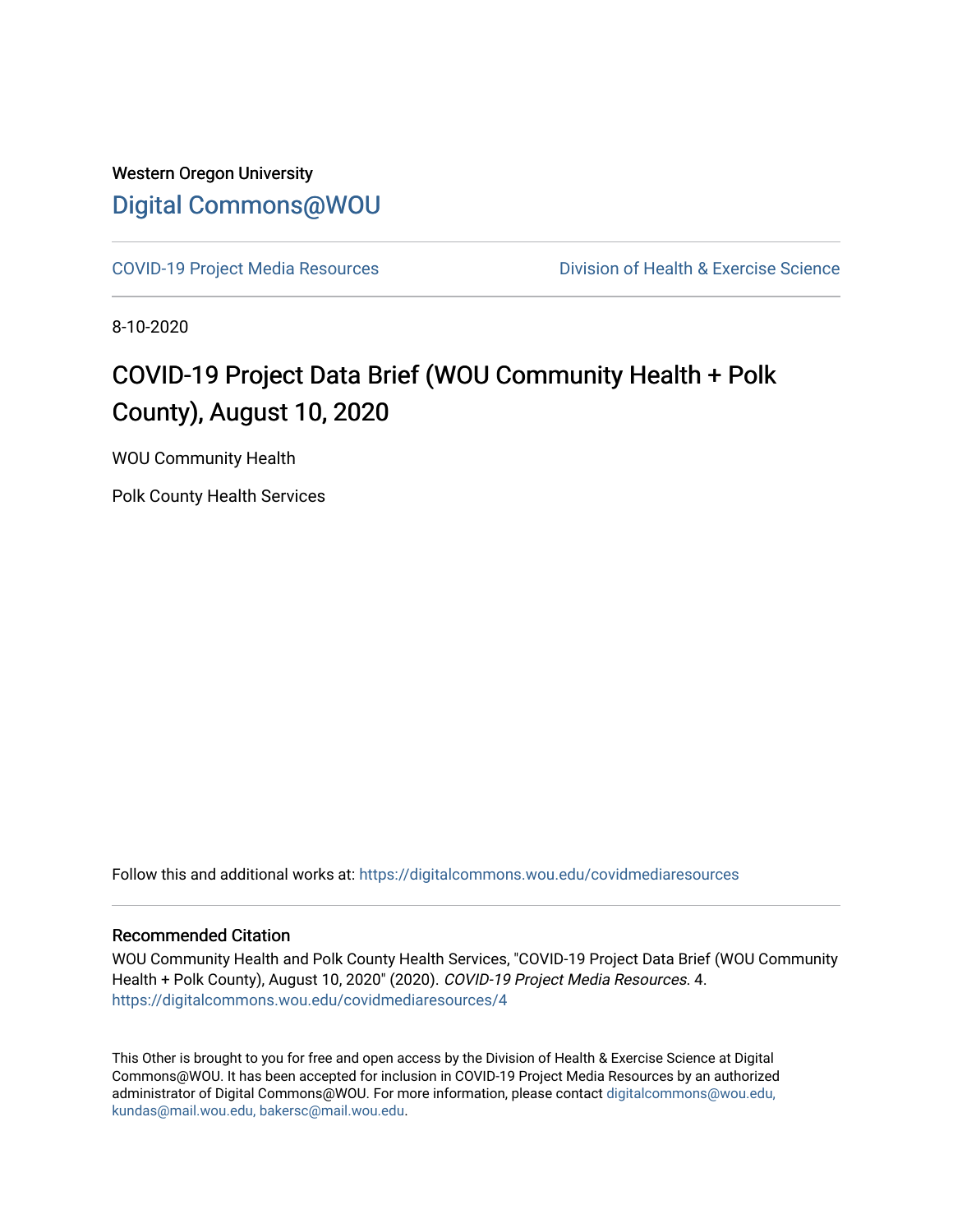### Western Oregon University [Digital Commons@WOU](https://digitalcommons.wou.edu/)

[COVID-19 Project Media Resources](https://digitalcommons.wou.edu/covidmediaresources) Division of Health & Exercise Science

8-10-2020

## COVID-19 Project Data Brief (WOU Community Health + Polk County), August 10, 2020

WOU Community Health

Polk County Health Services

Follow this and additional works at: [https://digitalcommons.wou.edu/covidmediaresources](https://digitalcommons.wou.edu/covidmediaresources?utm_source=digitalcommons.wou.edu%2Fcovidmediaresources%2F4&utm_medium=PDF&utm_campaign=PDFCoverPages)

#### Recommended Citation

WOU Community Health and Polk County Health Services, "COVID-19 Project Data Brief (WOU Community Health + Polk County), August 10, 2020" (2020). COVID-19 Project Media Resources. 4. [https://digitalcommons.wou.edu/covidmediaresources/4](https://digitalcommons.wou.edu/covidmediaresources/4?utm_source=digitalcommons.wou.edu%2Fcovidmediaresources%2F4&utm_medium=PDF&utm_campaign=PDFCoverPages)

This Other is brought to you for free and open access by the Division of Health & Exercise Science at Digital Commons@WOU. It has been accepted for inclusion in COVID-19 Project Media Resources by an authorized administrator of Digital Commons@WOU. For more information, please contact [digitalcommons@wou.edu,](mailto:digitalcommons@wou.edu,%20kundas@mail.wou.edu,%20bakersc@mail.wou.edu)  [kundas@mail.wou.edu, bakersc@mail.wou.edu.](mailto:digitalcommons@wou.edu,%20kundas@mail.wou.edu,%20bakersc@mail.wou.edu)